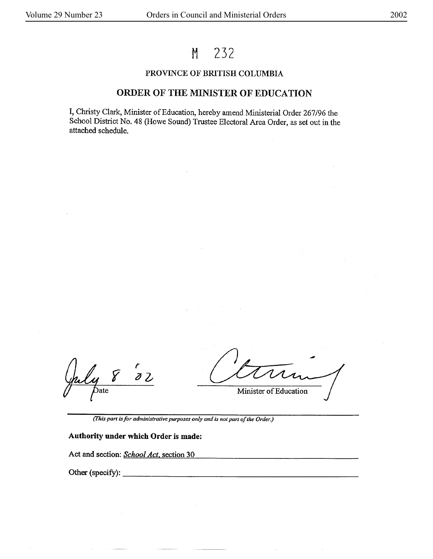# **M** 232

### PROVINCE OF BRITISH COLUMBIA

## ORDER OF THE MINISTER OF EDUCATION

I, Christy Clark, Minister of Education, hereby amend Ministerial Order 267/96 the School District No. 48 (Howe Sound) Trustee Electoral Area Order, as set out in the attached schedule.

 $\frac{r}{32}$  $\mathcal{E}% =\mathcal{E}_{\text{max}}\left( t\right) \text{,} \label{eq:sum}%$ Date

Minister of Education

*(This part is for administralive purposes only and is not part of the Order.)* 

## **Authority under which Order is made:**

Act and section: *School Act,* section 30

Other(specify): --~-------------------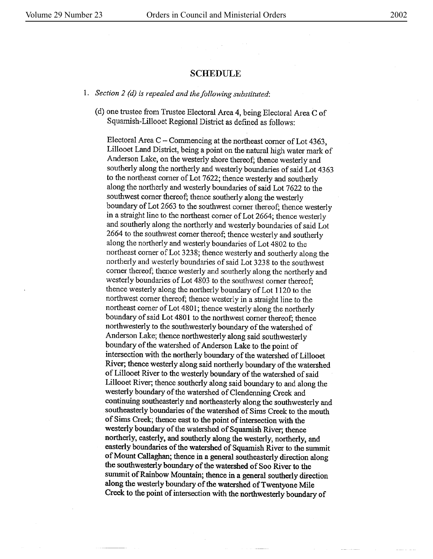#### SCHEDULE

- 1. *Section 2 (d) is repealed and the following substituted:* 
	- ( d) one trustee from Trustee Electoral Arca 4, being Electoral Area C of Squarnish-Lillooet Regional District as defined as follows:

Electoral Area C-Commencing at the northeast corner of Lot 4363, Lillooet Land District, being a point on the natural high water mark of Anderson Lake, on the westerly shore thereof; thence westerly and southerly along the northerly and westerly boundaries of said Lot 4363 to the northeast comer of Lot 7622; thence westerly and southerly along the northerly and westerly boundaries of said Lot 7622 to the southwest corner thereof; thence southerly along the westerly boundary of Lot 2663 to the southwest corner thereof; thence westerly in a straight line to the northeast comer of Lot 2664; thence westerly and southerly along the northerly and westerly boundaries of said Lot 2664 to the southwest corner thereof; thence westerly and southerly along the northerly and westerly boundaries of Lot 4802 to the northeast corner of Lot 3238; thence westerly and southerly along the northerly and westerly boundaries of said Lot 3238 to the southwest comer thereof; thence westerly and southerly along the northerly and westerly boundaries of Lot 4803 to the southwest comer thereof; thence westerly along the northerly boundary of Lot 1120 to the northwest corner thereof; thence westerly in a straight line *to* the northeast corner of Lot 4801; thence westerly along the northerly boundary of said Lot 4801 to the northwest corner thereof; thence northwesterly to the southwesterly boundary of the watershed of Anderson Lake; thence northwesterly along said southwesterly boundary of the watershed of Anderson Lake to the point of intersection with the northerly boundary of the watershed of Lillooet River; thence westerly along said northerly boundary of the watershed of Lillooet River to the westerly boundary of the watershed of said Lillooet River; thence southerly along said boundary to and along the westerly boundary of the watershed of Clendenning Creek and continuing southeasterly and northeasterly along the southwesterly and southeasterly boundaries of the watershed of Sims Creek to the mouth of Sims Creek; thence east to the point of intersection with the westerly boundary of the watershed of Squamish River; thence northerly, easterly, and southerly along the westerly, northerly, and easterly boundaries of the watershed of Squamish River to the summit of Mount Callaghan; thence in a general southeasterly direction along the southwesterly boundary of the watershed of Soo River to the summit of Rainbow Mountain; thence in a general southerly direction along the westerly boundary of the watershed of Twentyone Mile Creek to the point of intersection with the northwesterly boundary of